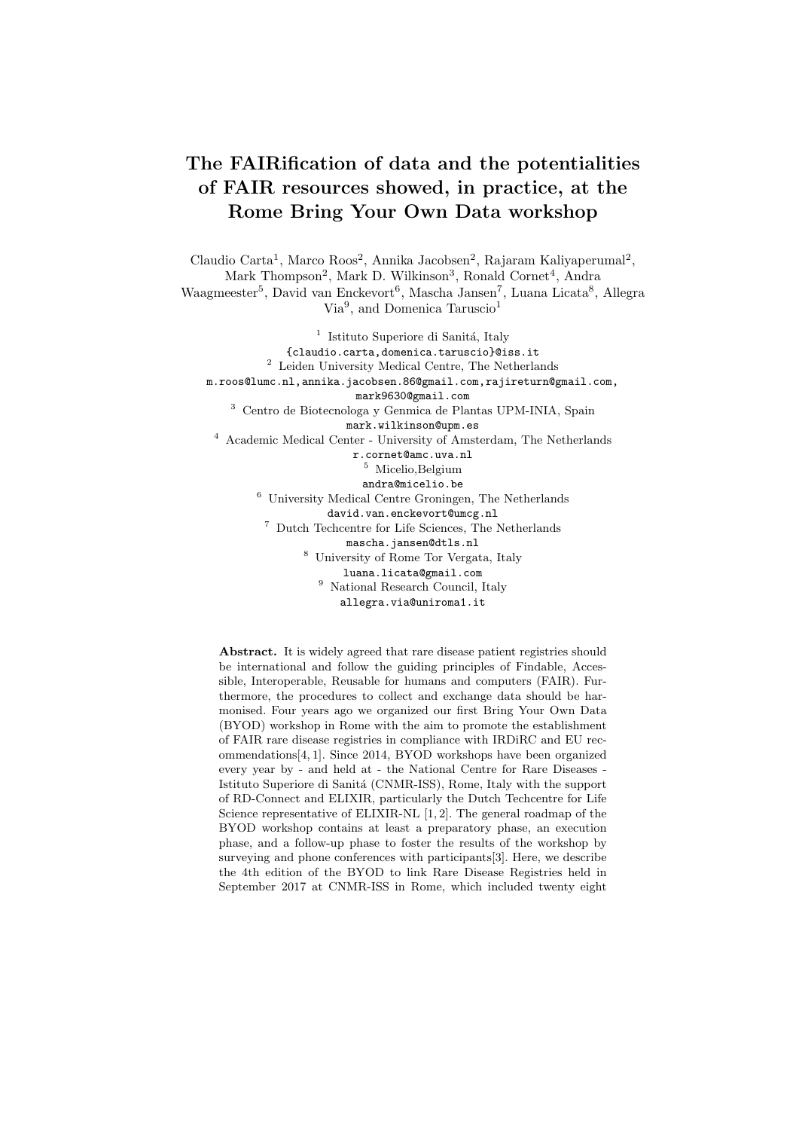## The FAIRification of data and the potentialities of FAIR resources showed, in practice, at the Rome Bring Your Own Data workshop

Claudio Carta<sup>1</sup>, Marco Roos<sup>2</sup>, Annika Jacobsen<sup>2</sup>, Rajaram Kaliyaperumal<sup>2</sup>, Mark Thompson<sup>2</sup>, Mark D. Wilkinson<sup>3</sup>, Ronald Cornet<sup>4</sup>, Andra Waagmeester<sup>5</sup>, David van Enckevort<sup>6</sup>, Mascha Jansen<sup>7</sup>, Luana Licata<sup>8</sup>, Allegra Via<sup>9</sup>, and Domenica Taruscio<sup>1</sup>

<sup>1</sup> Istituto Superiore di Sanitá, Italy {claudio.carta,domenica.taruscio}@iss.it <sup>2</sup> Leiden University Medical Centre, The Netherlands m.roos@lumc.nl,annika.jacobsen.86@gmail.com,rajireturn@gmail.com, mark9630@gmail.com <sup>3</sup> Centro de Biotecnologa y Genmica de Plantas UPM-INIA, Spain mark.wilkinson@upm.es <sup>4</sup> Academic Medical Center - University of Amsterdam, The Netherlands r.cornet@amc.uva.nl <sup>5</sup> Micelio,Belgium andra@micelio.be <sup>6</sup> University Medical Centre Groningen, The Netherlands david.van.enckevort@umcg.nl <sup>7</sup> Dutch Techcentre for Life Sciences, The Netherlands mascha.jansen@dtls.nl <sup>8</sup> University of Rome Tor Vergata, Italy luana.licata@gmail.com

<sup>9</sup> National Research Council, Italy allegra.via@uniroma1.it

Abstract. It is widely agreed that rare disease patient registries should be international and follow the guiding principles of Findable, Accessible, Interoperable, Reusable for humans and computers (FAIR). Furthermore, the procedures to collect and exchange data should be harmonised. Four years ago we organized our first Bring Your Own Data (BYOD) workshop in Rome with the aim to promote the establishment of FAIR rare disease registries in compliance with IRDiRC and EU recommendations[4, 1]. Since 2014, BYOD workshops have been organized every year by - and held at - the National Centre for Rare Diseases - Istituto Superiore di Sanitá (CNMR-ISS), Rome, Italy with the support of RD-Connect and ELIXIR, particularly the Dutch Techcentre for Life Science representative of ELIXIR-NL [1, 2]. The general roadmap of the BYOD workshop contains at least a preparatory phase, an execution phase, and a follow-up phase to foster the results of the workshop by surveying and phone conferences with participants[3]. Here, we describe the 4th edition of the BYOD to link Rare Disease Registries held in September 2017 at CNMR-ISS in Rome, which included twenty eight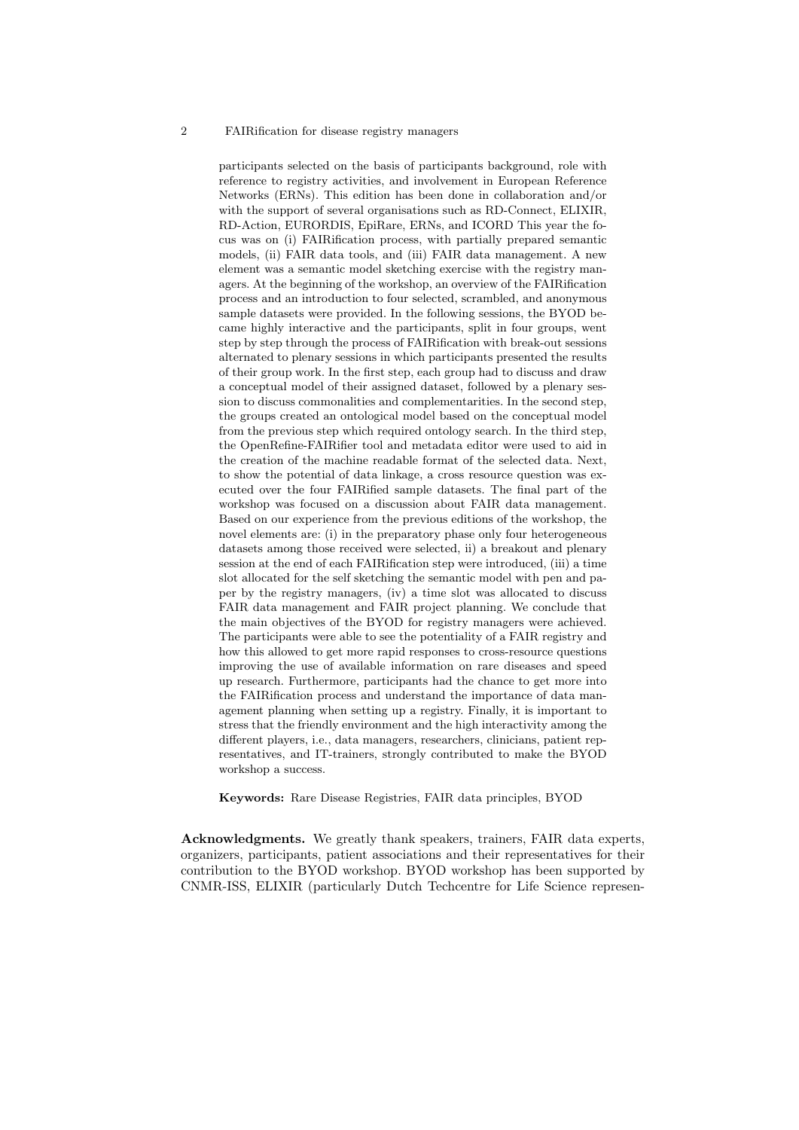## 2 FAIRification for disease registry managers

participants selected on the basis of participants background, role with reference to registry activities, and involvement in European Reference Networks (ERNs). This edition has been done in collaboration and/or with the support of several organisations such as RD-Connect, ELIXIR, RD-Action, EURORDIS, EpiRare, ERNs, and ICORD This year the focus was on (i) FAIRification process, with partially prepared semantic models, (ii) FAIR data tools, and (iii) FAIR data management. A new element was a semantic model sketching exercise with the registry managers. At the beginning of the workshop, an overview of the FAIRification process and an introduction to four selected, scrambled, and anonymous sample datasets were provided. In the following sessions, the BYOD became highly interactive and the participants, split in four groups, went step by step through the process of FAIRification with break-out sessions alternated to plenary sessions in which participants presented the results of their group work. In the first step, each group had to discuss and draw a conceptual model of their assigned dataset, followed by a plenary session to discuss commonalities and complementarities. In the second step, the groups created an ontological model based on the conceptual model from the previous step which required ontology search. In the third step, the OpenRefine-FAIRifier tool and metadata editor were used to aid in the creation of the machine readable format of the selected data. Next, to show the potential of data linkage, a cross resource question was executed over the four FAIRified sample datasets. The final part of the workshop was focused on a discussion about FAIR data management. Based on our experience from the previous editions of the workshop, the novel elements are: (i) in the preparatory phase only four heterogeneous datasets among those received were selected, ii) a breakout and plenary session at the end of each FAIRification step were introduced, (iii) a time slot allocated for the self sketching the semantic model with pen and paper by the registry managers, (iv) a time slot was allocated to discuss FAIR data management and FAIR project planning. We conclude that the main objectives of the BYOD for registry managers were achieved. The participants were able to see the potentiality of a FAIR registry and how this allowed to get more rapid responses to cross-resource questions improving the use of available information on rare diseases and speed up research. Furthermore, participants had the chance to get more into the FAIRification process and understand the importance of data management planning when setting up a registry. Finally, it is important to stress that the friendly environment and the high interactivity among the different players, i.e., data managers, researchers, clinicians, patient representatives, and IT-trainers, strongly contributed to make the BYOD workshop a success.

Keywords: Rare Disease Registries, FAIR data principles, BYOD

Acknowledgments. We greatly thank speakers, trainers, FAIR data experts, organizers, participants, patient associations and their representatives for their contribution to the BYOD workshop. BYOD workshop has been supported by CNMR-ISS, ELIXIR (particularly Dutch Techcentre for Life Science represen